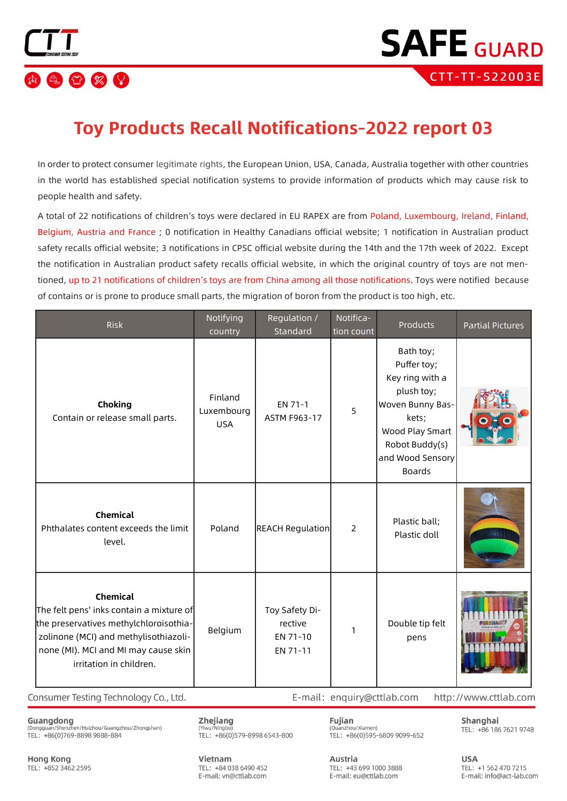

### **Toy Products Recall Notifications-2022 report 03**

In order to protect consumer legitimate rights, the European Union, USA, Canada, Australia together with other countries in the world has established special notification systems to provide information of products which may cause risk to people health and safety.

A total of 22 notifications of children's toys were declared in EU RAPEX are from Poland, Luxembourg, Ireland, Finland, Belgium, Austria and France ; 0 notification in Healthy Canadians official website; 1 notification in Australian product safety recalls official website: 3 notifications in CPSC official website during the 14th and the 17th week of 2022. Except the notification in Australian product safety recalls official website, in which the original country of toys are not mentioned, up to 21 notifications of children's toys are from China among all those notifications. Toys were notified because of contains or is prone to produce small parts, the migration of boron from the product is too high, etc.

| <b>Risk</b>                                                                                                                                                                                                       | Notifying<br>country                | Regulation /<br>Standard                          | Notifica-<br>tion count | Products                                                                                                                                                         | <b>Partial Pictures</b> |
|-------------------------------------------------------------------------------------------------------------------------------------------------------------------------------------------------------------------|-------------------------------------|---------------------------------------------------|-------------------------|------------------------------------------------------------------------------------------------------------------------------------------------------------------|-------------------------|
| Choking<br>Contain or release small parts.                                                                                                                                                                        | Finland<br>Luxembourg<br><b>USA</b> | EN 71-1<br>ASTM F963-17                           | 5                       | Bath toy;<br>Puffer toy;<br>Key ring with a<br>plush toy;<br>Woven Bunny Bas-<br>kets;<br>Wood Play Smart<br>Robot Buddy(s)<br>and Wood Sensory<br><b>Boards</b> |                         |
| <b>Chemical</b><br>Phthalates content exceeds the limit<br>level.                                                                                                                                                 | Poland                              | <b>REACH Regulation</b>                           | 2                       | Plastic ball;<br>Plastic doll                                                                                                                                    |                         |
| <b>Chemical</b><br>The felt pens' inks contain a mixture of<br>the preservatives methylchloroisothia-<br>zolinone (MCI) and methylisothiazoli-<br>none (MI). MCI and MI may cause skin<br>irritation in children. | Belgium                             | Toy Safety Di-<br>rective<br>EN 71-10<br>EN 71-11 | 1                       | Double tip felt<br>pens                                                                                                                                          |                         |

Consumer Testing Technology Co., Ltd.

Guangdong (Dongguan/Shenzhen/Huizhou/Guangzhou/Zhongshan) TEL: +86(0)769-8898 9888-884

Zhejiang (Yiwu/Ningbo TEL: +86(0)579-8998 6543-800

Fujian (Ouanzhou/Xiamen) TEL: +86(0)595-6809 9099-652 Shanghai TEL: +86 186 7621 9748

http://www.cttlab.com

**Hong Kong** TEL: +852 3462 2595 Vietnam TFL: +84 038 6490 452 E-mail: vn@cttlab.com

Austria TEL: +43 699 1000 3888 E-mail: eu@cttlab.com

E-mail: enquiry@cttlab.com

**USA** TFI: +1 562 470 7215 E-mail: info@act-lab.com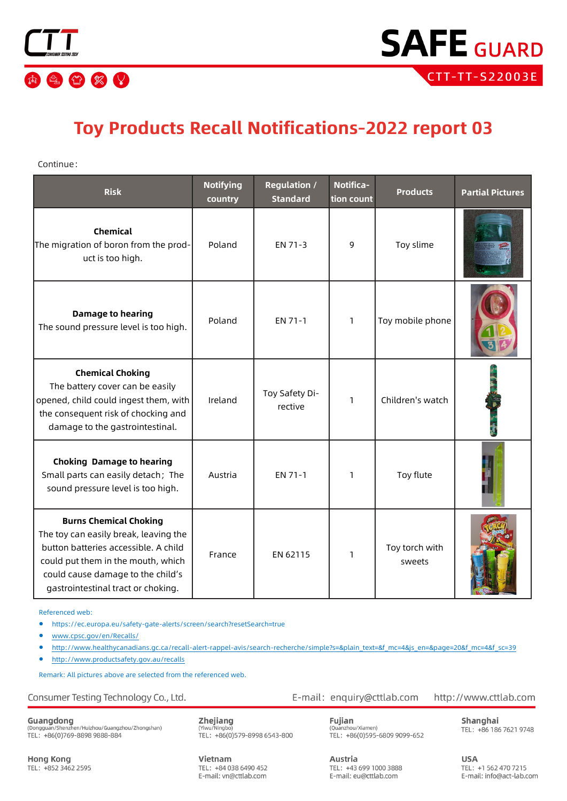

## **Toy Products Recall Notifications-2022 report 03**

Continue:

| <b>Risk</b>                                                                                                                                                                                                                     | <b>Notifying</b><br>country | <b>Regulation /</b><br><b>Standard</b> | Notifica-<br>tion count | <b>Products</b>          | <b>Partial Pictures</b> |
|---------------------------------------------------------------------------------------------------------------------------------------------------------------------------------------------------------------------------------|-----------------------------|----------------------------------------|-------------------------|--------------------------|-------------------------|
| <b>Chemical</b><br>The migration of boron from the prod-<br>uct is too high.                                                                                                                                                    | Poland                      | EN 71-3                                | 9                       | Toy slime                |                         |
| <b>Damage to hearing</b><br>The sound pressure level is too high.                                                                                                                                                               | Poland                      | EN 71-1                                | 1                       | Toy mobile phone         |                         |
| <b>Chemical Choking</b><br>The battery cover can be easily<br>opened, child could ingest them, with<br>the consequent risk of chocking and<br>damage to the gastrointestinal.                                                   | Ireland                     | Toy Safety Di-<br>rective              | 1                       | Children's watch         |                         |
| <b>Choking Damage to hearing</b><br>Small parts can easily detach; The<br>sound pressure level is too high.                                                                                                                     | Austria                     | EN 71-1                                | 1                       | Toy flute                |                         |
| <b>Burns Chemical Choking</b><br>The toy can easily break, leaving the<br>button batteries accessible. A child<br>could put them in the mouth, which<br>could cause damage to the child's<br>gastrointestinal tract or choking. | France                      | EN 62115                               | 1                       | Toy torch with<br>sweets |                         |

Referenced web:

• https://ec.europa.eu/safety-gate-alerts/screen/search?resetSearch=true

• [www.cpsc.gov/en/Recalls/](http://www.cpsc.gov/en/Recalls/)

- http://www.healthycanadians.gc.ca/recall-alert-rappel-avis/search-[recherche/simple?s=&plain\\_text=&f\\_mc=4&js\\_en=&page=20&f\\_mc=4&f\\_sc=39](http://www.healthycanadians.gc.ca/recall-alert-rappel-avis/search-recherche/simple?s=&plain_text=&f_mc=4&js_en=&page=20&f_mc=4&f_sc=39)
- <http://www.productsafety.gov.au/recalls>

Remark: All pictures above are selected from the referenced web.

Consumer Testing Technology Co., Ltd.

Guangdong<br>(Dongguan/Shenzhen/Huizhou/Guangzhou/Zhongshan)<br>TEL: +86(0)769-8898 9888-884

Zhejiang (Yiwu/Ningbo)<br>TEL: +86(0)579-8998 6543-800

Fujian (Quanzhou/Xiamen)<br>TEL: +86(0)595-6809 9099-652

E-mail: enquiry@cttlab.com

http://www.cttlab.com

Shanghai TEL: +86 186 7621 9748

**Hong Kong** TEL: +852 3462 2595 Vietnam TFL: +84 038 6490 452 E-mail: vn@cttlab.com Austria TEL: +43 699 1000 3888 E-mail: eu@cttlab.com

**USA** TEL: +1 562 470 7215 E-mail: info@act-lab.com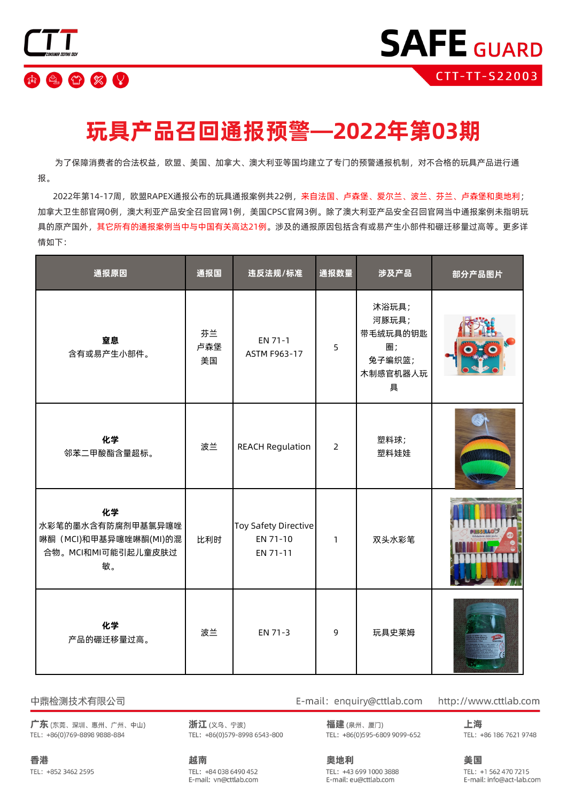

## **玩具产品召回通报预警—2022年第03期**

 为了保障消费者的合法权益,欧盟、美国、加拿大、澳大利亚等国均建立了专门的预警通报机制,对不合格的玩具产品进行通 报。

 2022年第14-17周,欧盟RAPEX通报公布的玩具通报案例共22例,来自法国、卢森堡、爱尔兰、波兰、芬兰、卢森堡和奥地利; 加拿大卫生部官网0例,澳大利亚产品安全召回官网1例,美国CPSC官网3例。除了澳大利亚产品安全召回官网当中通报案例未指明玩 具的原产国外,其它所有的通报案例当中与中国有关高达21例。涉及的通报原因包括含有或易产生小部件和硼迁移量过高等。更多详 情如下:

| 通报原因                                                                          | 通报国             | 违反法规/标准                                             | 通报数量           | 涉及产品                                                        | 部分产品图片 |
|-------------------------------------------------------------------------------|-----------------|-----------------------------------------------------|----------------|-------------------------------------------------------------|--------|
| 窒息<br>含有或易产生小部件。                                                              | 芬兰<br>卢森堡<br>美国 | EN 71-1<br>ASTM F963-17                             | 5              | 沐浴玩具;<br>河豚玩具;<br>带毛绒玩具的钥匙<br>圈;<br>兔子编织篮;<br>木制感官机器人玩<br>具 |        |
| 化学<br>邻苯二甲酸酯含量超标。                                                             | 波兰              | <b>REACH Regulation</b>                             | $\overline{2}$ | 塑料球;<br>塑料娃娃                                                |        |
| 化学<br>水彩笔的墨水含有防腐剂甲基氯异噻唑<br>啉酮 (MCI)和甲基异噻唑啉酮(MI)的混<br>合物。MCI和MI可能引起儿童皮肤过<br>敏。 | 比利时             | <b>Toy Safety Directive</b><br>EN 71-10<br>EN 71-11 | $\mathbf{1}$   | 双头水彩笔                                                       |        |
| 化学<br>产品的硼迁移量过高。                                                              | 波兰              | EN 71-3                                             | 9              | 玩具史莱姆                                                       |        |

#### 中鼎检测技术有限公司

广东(东莞、深圳、惠州、广州、中山) TEL: +86(0)769-8898 9888-884

浙江(义乌、宁波) TEL: +86(0)579-8998 6543-800 E-mail: enquiry@cttlab.com

福建(泉州、厦门) TEL: +86(0)595-6809 9099-652 http://www.cttlab.com

上海 TEL: +86 186 7621 9748

香港 TEL: +852 3462 2595 越南 TEL: +84 038 6490 452 E-mail: vn@cttlab.com

奥地利 TEL: +43 699 1000 3888 E-mail: eu@cttlab.com

美国

TEL: +1 562 470 7215 E-mail: info@act-lab.com